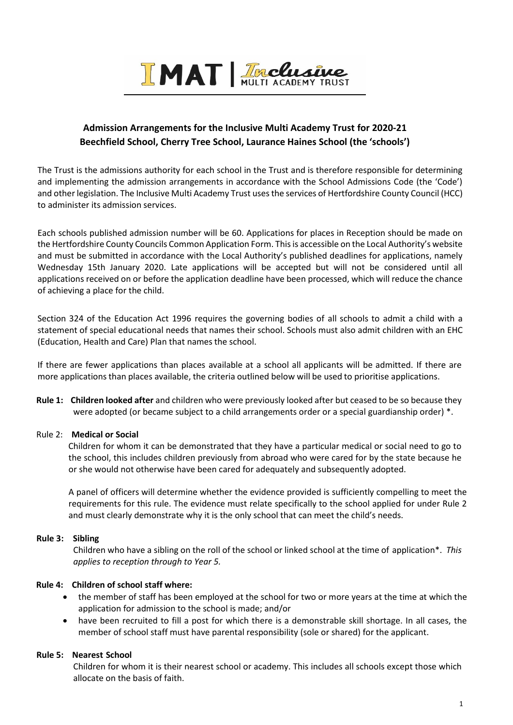

## **Admission Arrangements for the Inclusive Multi Academy Trust for 2020-21 Beechfield School, Cherry Tree School, Laurance Haines School (the 'schools')**

The Trust is the admissions authority for each school in the Trust and is therefore responsible for determining and implementing the admission arrangements in accordance with the School Admissions Code (the 'Code') and other legislation. The Inclusive Multi Academy Trust uses the services of Hertfordshire County Council (HCC) to administer its admission services.

Each schools published admission number will be 60. Applications for places in Reception should be made on the Hertfordshire County Councils Common Application Form. This is accessible on the Local Authority's website and must be submitted in accordance with the Local Authority's published deadlines for applications, namely Wednesday 15th January 2020. Late applications will be accepted but will not be considered until all applications received on or before the application deadline have been processed, which will reduce the chance of achieving a place for the child.

Section 324 of the Education Act 1996 requires the governing bodies of all schools to admit a child with a statement of special educational needs that names their school. Schools must also admit children with an EHC (Education, Health and Care) Plan that names the school.

If there are fewer applications than places available at a school all applicants will be admitted. If there are more applications than places available, the criteria outlined below will be used to prioritise applications.

**Rule 1: Children looked after** and children who were previously looked after but ceased to be so because they were adopted (or became subject to a child arrangements order or a special guardianship order) \*.

### Rule 2: **Medical or Social**

Children for whom it can be demonstrated that they have a particular medical or social need to go to the school, this includes children previously from abroad who were cared for by the state because he or she would not otherwise have been cared for adequately and subsequently adopted.

A panel of officers will determine whether the evidence provided is sufficiently compelling to meet the requirements for this rule. The evidence must relate specifically to the school applied for under Rule 2 and must clearly demonstrate why it is the only school that can meet the child's needs.

### **Rule 3: Sibling**

Children who have a sibling on the roll of the school or linked school at the time of application\*. *This applies to reception through to Year 5.*

### **Rule 4: Children of school staff where:**

- the member of staff has been employed at the school for two or more years at the time at which the application for admission to the school is made; and/or
- have been recruited to fill a post for which there is a demonstrable skill shortage. In all cases, the member of school staff must have parental responsibility (sole or shared) for the applicant.

### **Rule 5: Nearest School**

Children for whom it is their nearest school or academy. This includes all schools except those which allocate on the basis of faith.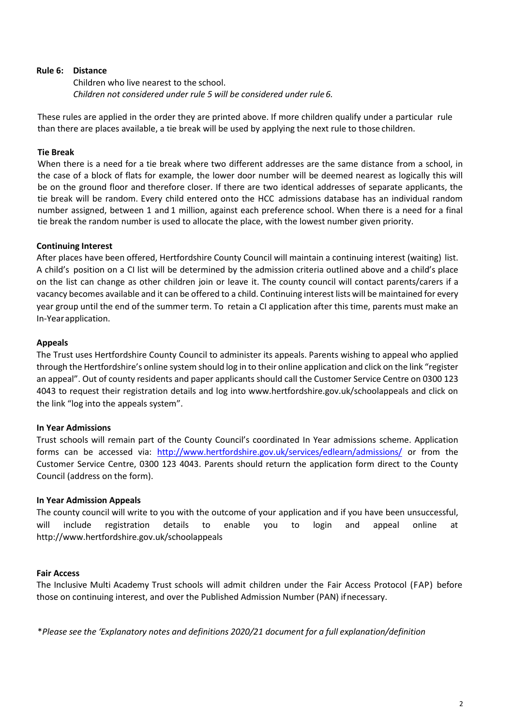#### **Rule 6: Distance**

Children who live nearest to the school. *Children not considered under rule 5 will be considered under rule6.*

These rules are applied in the order they are printed above. If more children qualify under a particular rule than there are places available, a tie break will be used by applying the next rule to those children.

### **Tie Break**

When there is a need for a tie break where two different addresses are the same distance from a school, in the case of a block of flats for example, the lower door number will be deemed nearest as logically this will be on the ground floor and therefore closer. If there are two identical addresses of separate applicants, the tie break will be random. Every child entered onto the HCC admissions database has an individual random number assigned, between 1 and 1 million, against each preference school. When there is a need for a final tie break the random number is used to allocate the place, with the lowest number given priority.

### **Continuing Interest**

After places have been offered, Hertfordshire County Council will maintain a continuing interest (waiting) list. A child's position on a CI list will be determined by the admission criteria outlined above and a child's place on the list can change as other children join or leave it. The county council will contact parents/carers if a vacancy becomes available and it can be offered to a child. Continuing interest lists will be maintained for every year group until the end of the summer term. To retain a CI application after this time, parents must make an In-Yearapplication.

#### **Appeals**

The Trust uses Hertfordshire County Council to administer its appeals. Parents wishing to appeal who applied through the Hertfordshire's online system should log in to their online application and click on the link "register an appeal". Out of county residents and paper applicants should call the Customer Service Centre on 0300 123 4043 to request their registration details and log into www.hertfordshire.gov.uk/schoolappeals and click on the link "log into the appeals system".

### **In Year Admissions**

Trust schools will remain part of the County Council's coordinated In Year admissions scheme. Application forms can be accessed via: <http://www.hertfordshire.gov.uk/services/edlearn/admissions/> or from the Customer Service Centre, 0300 123 4043. Parents should return the application form direct to the County Council (address on the form).

### **In Year Admission Appeals**

The county council will write to you with the outcome of your application and if you have been unsuccessful, will include registration details to enable you to login and appeal online at http://www.hertfordshire.gov.uk/schoolappeals

### **Fair Access**

The Inclusive Multi Academy Trust schools will admit children under the Fair Access Protocol (FAP) before those on continuing interest, and over the Published Admission Number (PAN) ifnecessary.

\**Please see the 'Explanatory notes and definitions 2020/21 document for a full explanation/definition*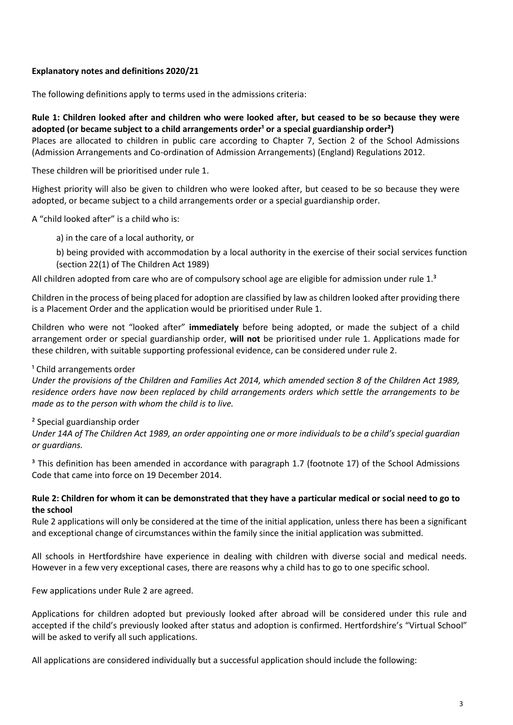### **Explanatory notes and definitions 2020/21**

The following definitions apply to terms used in the admissions criteria:

### **Rule 1: Children looked after and children who were looked after, but ceased to be so because they were**  adopted (or became subject to a child arrangements order<sup>1</sup> or a special guardianship order<sup>2</sup>)

Places are allocated to children in public care according to Chapter 7, Section 2 of the School Admissions (Admission Arrangements and Co-ordination of Admission Arrangements) (England) Regulations 2012.

These children will be prioritised under rule 1.

Highest priority will also be given to children who were looked after, but ceased to be so because they were adopted, or became subject to a child arrangements order or a special guardianship order.

A "child looked after" is a child who is:

a) in the care of a local authority, or

b) being provided with accommodation by a local authority in the exercise of their social services function (section 22(1) of The Children Act 1989)

All children adopted from care who are of compulsory school age are eligible for admission under rule 1.<sup>3</sup>

Children in the process of being placed for adoption are classified by law as children looked after providing there is a Placement Order and the application would be prioritised under Rule 1.

Children who were not "looked after" **immediately** before being adopted, or made the subject of a child arrangement order or special guardianship order, **will not** be prioritised under rule 1. Applications made for these children, with suitable supporting professional evidence, can be considered under rule 2.

### <sup>1</sup> Child arrangements order

*Under the provisions of the Children and Families Act 2014, which amended section 8 of the Children Act 1989, residence orders have now been replaced by child arrangements orders which settle the arrangements to be made as to the person with whom the child is to live.* 

### ² Special guardianship order

*Under 14A of The Children Act 1989, an order appointing one or more individuals to be a child's special guardian or guardians.* 

<sup>3</sup> This definition has been amended in accordance with paragraph 1.7 (footnote 17) of the School Admissions Code that came into force on 19 December 2014.

### **Rule 2: Children for whom it can be demonstrated that they have a particular medical or social need to go to the school**

Rule 2 applications will only be considered at the time of the initial application, unless there has been a significant and exceptional change of circumstances within the family since the initial application was submitted.

All schools in Hertfordshire have experience in dealing with children with diverse social and medical needs. However in a few very exceptional cases, there are reasons why a child has to go to one specific school.

Few applications under Rule 2 are agreed.

Applications for children adopted but previously looked after abroad will be considered under this rule and accepted if the child's previously looked after status and adoption is confirmed. Hertfordshire's "Virtual School" will be asked to verify all such applications.

All applications are considered individually but a successful application should include the following: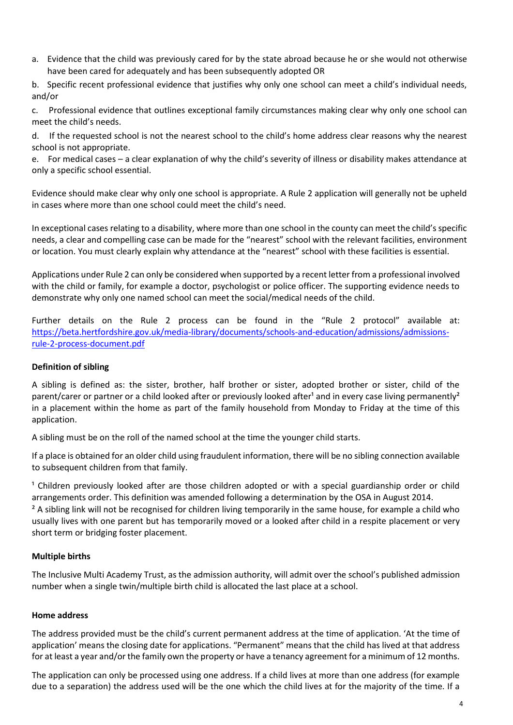- a. Evidence that the child was previously cared for by the state abroad because he or she would not otherwise have been cared for adequately and has been subsequently adopted OR
- b. Specific recent professional evidence that justifies why only one school can meet a child's individual needs, and/or

c. Professional evidence that outlines exceptional family circumstances making clear why only one school can meet the child's needs.

d. If the requested school is not the nearest school to the child's home address clear reasons why the nearest school is not appropriate.

e. For medical cases – a clear explanation of why the child's severity of illness or disability makes attendance at only a specific school essential.

Evidence should make clear why only one school is appropriate. A Rule 2 application will generally not be upheld in cases where more than one school could meet the child's need.

In exceptional cases relating to a disability, where more than one school in the county can meet the child's specific needs, a clear and compelling case can be made for the "nearest" school with the relevant facilities, environment or location. You must clearly explain why attendance at the "nearest" school with these facilities is essential.

Applications under Rule 2 can only be considered when supported by a recent letter from a professional involved with the child or family, for example a doctor, psychologist or police officer. The supporting evidence needs to demonstrate why only one named school can meet the social/medical needs of the child.

Further details on the Rule 2 process can be found in the "Rule 2 protocol" available at: [https://beta.hertfordshire.gov.uk/media-library/documents/schools-and-education/admissions/admissions](https://beta.hertfordshire.gov.uk/media-library/documents/schools-and-education/admissions/admissions-rule-2-process-document.pdf)[rule-2-process-document.pdf](https://beta.hertfordshire.gov.uk/media-library/documents/schools-and-education/admissions/admissions-rule-2-process-document.pdf)

### **Definition of sibling**

A sibling is defined as: the sister, brother, half brother or sister, adopted brother or sister, child of the parent/carer or partner or a child looked after or previously looked after<sup>1</sup> and in every case living permanently<sup>2</sup> in a placement within the home as part of the family household from Monday to Friday at the time of this application.

A sibling must be on the roll of the named school at the time the younger child starts.

If a place is obtained for an older child using fraudulent information, there will be no sibling connection available to subsequent children from that family.

<sup>1</sup> Children previously looked after are those children adopted or with a special guardianship order or child arrangements order. This definition was amended following a determination by the OSA in August 2014.

<sup>2</sup> A sibling link will not be recognised for children living temporarily in the same house, for example a child who usually lives with one parent but has temporarily moved or a looked after child in a respite placement or very short term or bridging foster placement.

### **Multiple births**

The Inclusive Multi Academy Trust, as the admission authority, will admit over the school's published admission number when a single twin/multiple birth child is allocated the last place at a school.

### **Home address**

The address provided must be the child's current permanent address at the time of application. 'At the time of application' means the closing date for applications. "Permanent" means that the child has lived at that address for at least a year and/or the family own the property or have a tenancy agreement for a minimum of 12 months.

The application can only be processed using one address. If a child lives at more than one address (for example due to a separation) the address used will be the one which the child lives at for the majority of the time. If a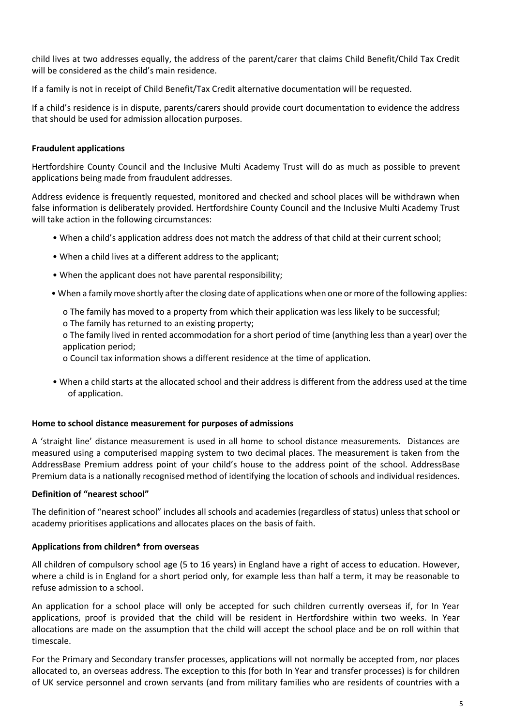child lives at two addresses equally, the address of the parent/carer that claims Child Benefit/Child Tax Credit will be considered as the child's main residence.

If a family is not in receipt of Child Benefit/Tax Credit alternative documentation will be requested.

If a child's residence is in dispute, parents/carers should provide court documentation to evidence the address that should be used for admission allocation purposes.

### **Fraudulent applications**

Hertfordshire County Council and the Inclusive Multi Academy Trust will do as much as possible to prevent applications being made from fraudulent addresses.

Address evidence is frequently requested, monitored and checked and school places will be withdrawn when false information is deliberately provided. Hertfordshire County Council and the Inclusive Multi Academy Trust will take action in the following circumstances:

- When a child's application address does not match the address of that child at their current school;
- When a child lives at a different address to the applicant;
- When the applicant does not have parental responsibility;
- When a family move shortly after the closing date of applications when one or more of the following applies:
	- ο The family has moved to a property from which their application was less likely to be successful;
	- ο The family has returned to an existing property;

ο The family lived in rented accommodation for a short period of time (anything less than a year) over the application period;

- ο Council tax information shows a different residence at the time of application.
- When a child starts at the allocated school and their address is different from the address used at the time of application.

### **Home to school distance measurement for purposes of admissions**

A 'straight line' distance measurement is used in all home to school distance measurements. Distances are measured using a computerised mapping system to two decimal places. The measurement is taken from the AddressBase Premium address point of your child's house to the address point of the school. AddressBase Premium data is a nationally recognised method of identifying the location of schools and individual residences.

### **Definition of "nearest school"**

The definition of "nearest school" includes all schools and academies (regardless of status) unless that school or academy prioritises applications and allocates places on the basis of faith.

### **Applications from children\* from overseas**

All children of compulsory school age (5 to 16 years) in England have a right of access to education. However, where a child is in England for a short period only, for example less than half a term, it may be reasonable to refuse admission to a school.

An application for a school place will only be accepted for such children currently overseas if, for In Year applications, proof is provided that the child will be resident in Hertfordshire within two weeks. In Year allocations are made on the assumption that the child will accept the school place and be on roll within that timescale.

For the Primary and Secondary transfer processes, applications will not normally be accepted from, nor places allocated to, an overseas address. The exception to this (for both In Year and transfer processes) is for children of UK service personnel and crown servants (and from military families who are residents of countries with a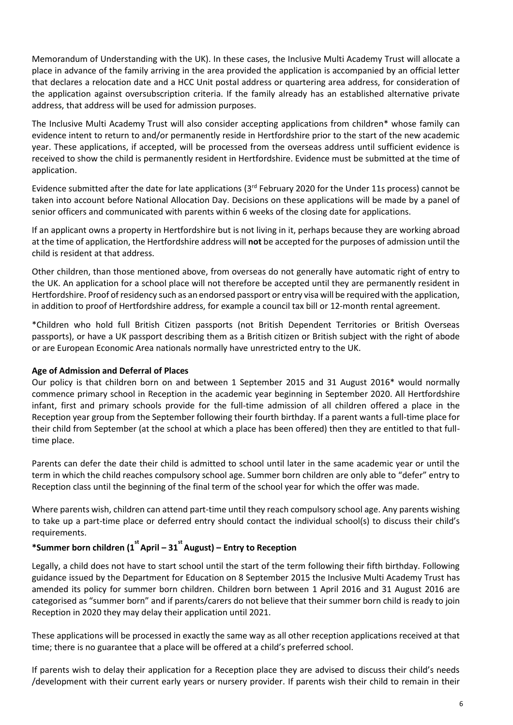Memorandum of Understanding with the UK). In these cases, the Inclusive Multi Academy Trust will allocate a place in advance of the family arriving in the area provided the application is accompanied by an official letter that declares a relocation date and a HCC Unit postal address or quartering area address, for consideration of the application against oversubscription criteria. If the family already has an established alternative private address, that address will be used for admission purposes.

The Inclusive Multi Academy Trust will also consider accepting applications from children\* whose family can evidence intent to return to and/or permanently reside in Hertfordshire prior to the start of the new academic year. These applications, if accepted, will be processed from the overseas address until sufficient evidence is received to show the child is permanently resident in Hertfordshire. Evidence must be submitted at the time of application.

Evidence submitted after the date for late applications ( $3<sup>rd</sup>$  February 2020 for the Under 11s process) cannot be taken into account before National Allocation Day. Decisions on these applications will be made by a panel of senior officers and communicated with parents within 6 weeks of the closing date for applications.

If an applicant owns a property in Hertfordshire but is not living in it, perhaps because they are working abroad at the time of application, the Hertfordshire address will **not** be accepted for the purposes of admission until the child is resident at that address.

Other children, than those mentioned above, from overseas do not generally have automatic right of entry to the UK. An application for a school place will not therefore be accepted until they are permanently resident in Hertfordshire. Proof of residency such as an endorsed passport or entry visa will be required with the application, in addition to proof of Hertfordshire address, for example a council tax bill or 12-month rental agreement.

\*Children who hold full British Citizen passports (not British Dependent Territories or British Overseas passports), or have a UK passport describing them as a British citizen or British subject with the right of abode or are European Economic Area nationals normally have unrestricted entry to the UK.

### **Age of Admission and Deferral of Places**

Our policy is that children born on and between 1 September 2015 and 31 August 2016\* would normally commence primary school in Reception in the academic year beginning in September 2020. All Hertfordshire infant, first and primary schools provide for the full-time admission of all children offered a place in the Reception year group from the September following their fourth birthday. If a parent wants a full-time place for their child from September (at the school at which a place has been offered) then they are entitled to that fulltime place.

Parents can defer the date their child is admitted to school until later in the same academic year or until the term in which the child reaches compulsory school age. Summer born children are only able to "defer" entry to Reception class until the beginning of the final term of the school year for which the offer was made.

Where parents wish, children can attend part-time until they reach compulsory school age. Any parents wishing to take up a part-time place or deferred entry should contact the individual school(s) to discuss their child's requirements.

# **\*Summer born children (1 st April – 31 st August) – Entry to Reception**

Legally, a child does not have to start school until the start of the term following their fifth birthday. Following guidance issued by the Department for Education on 8 September 2015 the Inclusive Multi Academy Trust has amended its policy for summer born children. Children born between 1 April 2016 and 31 August 2016 are categorised as "summer born" and if parents/carers do not believe that their summer born child is ready to join Reception in 2020 they may delay their application until 2021.

These applications will be processed in exactly the same way as all other reception applications received at that time; there is no guarantee that a place will be offered at a child's preferred school.

If parents wish to delay their application for a Reception place they are advised to discuss their child's needs /development with their current early years or nursery provider. If parents wish their child to remain in their